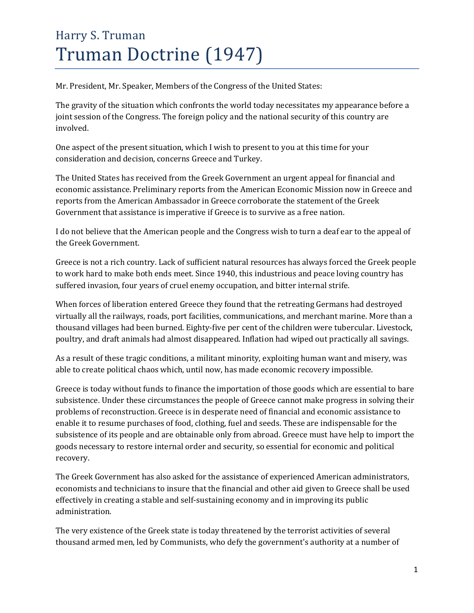## Harry S. Truman Truman Doctrine (1947)

Mr. President, Mr. Speaker, Members of the Congress of the United States:

The gravity of the situation which confronts the world today necessitates my appearance before a joint session of the Congress. The foreign policy and the national security of this country are involved.

One aspect of the present situation, which I wish to present to you at this time for your consideration and decision, concerns Greece and Turkey.

The United States has received from the Greek Government an urgent appeal for financial and economic assistance. Preliminary reports from the American Economic Mission now in Greece and reports from the American Ambassador in Greece corroborate the statement of the Greek Government that assistance is imperative if Greece is to survive as a free nation.

I do not believe that the American people and the Congress wish to turn a deaf ear to the appeal of the Greek Government.

Greece is not a rich country. Lack of sufficient natural resources has always forced the Greek people to work hard to make both ends meet. Since 1940, this industrious and peace loving country has suffered invasion, four years of cruel enemy occupation, and bitter internal strife.

When forces of liberation entered Greece they found that the retreating Germans had destroyed virtually all the railways, roads, port facilities, communications, and merchant marine. More than a thousand villages had been burned. Eighty-five per cent of the children were tubercular. Livestock, poultry, and draft animals had almost disappeared. Inflation had wiped out practically all savings.

As a result of these tragic conditions, a militant minority, exploiting human want and misery, was able to create political chaos which, until now, has made economic recovery impossible.

Greece is today without funds to finance the importation of those goods which are essential to bare subsistence. Under these circumstances the people of Greece cannot make progress in solving their problems of reconstruction. Greece is in desperate need of financial and economic assistance to enable it to resume purchases of food, clothing, fuel and seeds. These are indispensable for the subsistence of its people and are obtainable only from abroad. Greece must have help to import the goods necessary to restore internal order and security, so essential for economic and political recovery.

The Greek Government has also asked for the assistance of experienced American administrators, economists and technicians to insure that the financial and other aid given to Greece shall be used effectively in creating a stable and self-sustaining economy and in improving its public administration.

The very existence of the Greek state is today threatened by the terrorist activities of several thousand armed men, led by Communists, who defy the government's authority at a number of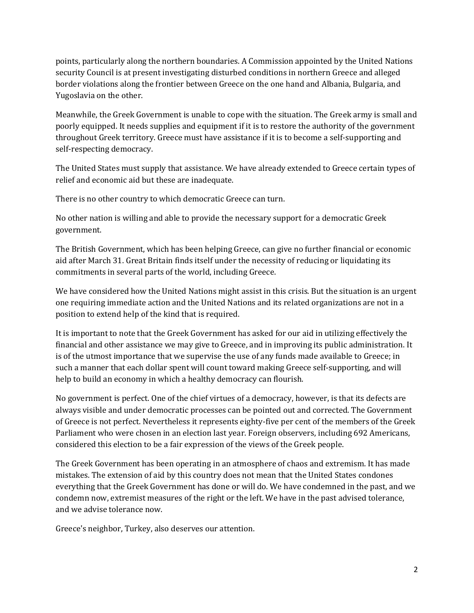points, particularly along the northern boundaries. A Commission appointed by the United Nations security Council is at present investigating disturbed conditions in northern Greece and alleged border violations along the frontier between Greece on the one hand and Albania, Bulgaria, and Yugoslavia on the other.

Meanwhile, the Greek Government is unable to cope with the situation. The Greek army is small and poorly equipped. It needs supplies and equipment if it is to restore the authority of the government throughout Greek territory. Greece must have assistance if it is to become a self-supporting and self-respecting democracy.

The United States must supply that assistance. We have already extended to Greece certain types of relief and economic aid but these are inadequate.

There is no other country to which democratic Greece can turn.

No other nation is willing and able to provide the necessary support for a democratic Greek government.

The British Government, which has been helping Greece, can give no further financial or economic aid after March 31. Great Britain finds itself under the necessity of reducing or liquidating its commitments in several parts of the world, including Greece.

We have considered how the United Nations might assist in this crisis. But the situation is an urgent one requiring immediate action and the United Nations and its related organizations are not in a position to extend help of the kind that is required.

It is important to note that the Greek Government has asked for our aid in utilizing effectively the financial and other assistance we may give to Greece, and in improving its public administration. It is of the utmost importance that we supervise the use of any funds made available to Greece; in such a manner that each dollar spent will count toward making Greece self-supporting, and will help to build an economy in which a healthy democracy can flourish.

No government is perfect. One of the chief virtues of a democracy, however, is that its defects are always visible and under democratic processes can be pointed out and corrected. The Government of Greece is not perfect. Nevertheless it represents eighty-five per cent of the members of the Greek Parliament who were chosen in an election last year. Foreign observers, including 692 Americans, considered this election to be a fair expression of the views of the Greek people.

The Greek Government has been operating in an atmosphere of chaos and extremism. It has made mistakes. The extension of aid by this country does not mean that the United States condones everything that the Greek Government has done or will do. We have condemned in the past, and we condemn now, extremist measures of the right or the left. We have in the past advised tolerance, and we advise tolerance now.

Greece's neighbor, Turkey, also deserves our attention.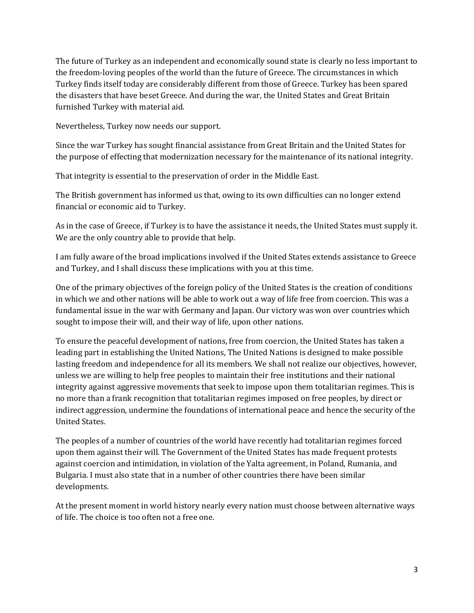The future of Turkey as an independent and economically sound state is clearly no less important to the freedom-loving peoples of the world than the future of Greece. The circumstances in which Turkey finds itself today are considerably different from those of Greece. Turkey has been spared the disasters that have beset Greece. And during the war, the United States and Great Britain furnished Turkey with material aid.

Nevertheless, Turkey now needs our support.

Since the war Turkey has sought financial assistance from Great Britain and the United States for the purpose of effecting that modernization necessary for the maintenance of its national integrity.

That integrity is essential to the preservation of order in the Middle East.

The British government has informed us that, owing to its own difficulties can no longer extend financial or economic aid to Turkey.

As in the case of Greece, if Turkey is to have the assistance it needs, the United States must supply it. We are the only country able to provide that help.

I am fully aware of the broad implications involved if the United States extends assistance to Greece and Turkey, and I shall discuss these implications with you at this time.

One of the primary objectives of the foreign policy of the United States is the creation of conditions in which we and other nations will be able to work out a way of life free from coercion. This was a fundamental issue in the war with Germany and Japan. Our victory was won over countries which sought to impose their will, and their way of life, upon other nations.

To ensure the peaceful development of nations, free from coercion, the United States has taken a leading part in establishing the United Nations, The United Nations is designed to make possible lasting freedom and independence for all its members. We shall not realize our objectives, however, unless we are willing to help free peoples to maintain their free institutions and their national integrity against aggressive movements that seek to impose upon them totalitarian regimes. This is no more than a frank recognition that totalitarian regimes imposed on free peoples, by direct or indirect aggression, undermine the foundations of international peace and hence the security of the United States.

The peoples of a number of countries of the world have recently had totalitarian regimes forced upon them against their will. The Government of the United States has made frequent protests against coercion and intimidation, in violation of the Yalta agreement, in Poland, Rumania, and Bulgaria. I must also state that in a number of other countries there have been similar developments.

At the present moment in world history nearly every nation must choose between alternative ways of life. The choice is too often not a free one.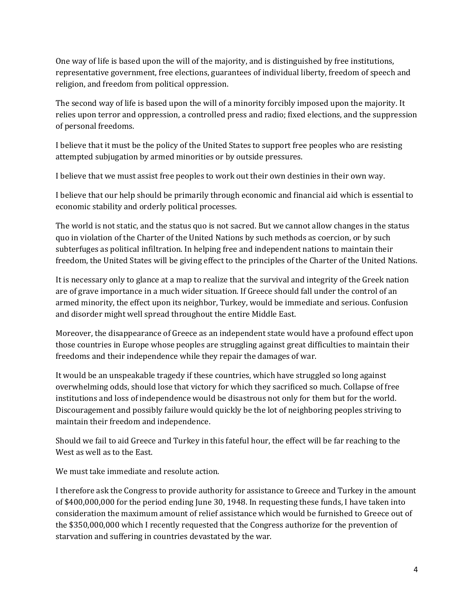One way of life is based upon the will of the majority, and is distinguished by free institutions, representative government, free elections, guarantees of individual liberty, freedom of speech and religion, and freedom from political oppression.

The second way of life is based upon the will of a minority forcibly imposed upon the majority. It relies upon terror and oppression, a controlled press and radio; fixed elections, and the suppression of personal freedoms.

I believe that it must be the policy of the United States to support free peoples who are resisting attempted subjugation by armed minorities or by outside pressures.

I believe that we must assist free peoples to work out their own destinies in their own way.

I believe that our help should be primarily through economic and financial aid which is essential to economic stability and orderly political processes.

The world is not static, and the status quo is not sacred. But we cannot allow changes in the status quo in violation of the Charter of the United Nations by such methods as coercion, or by such subterfuges as political infiltration. In helping free and independent nations to maintain their freedom, the United States will be giving effect to the principles of the Charter of the United Nations.

It is necessary only to glance at a map to realize that the survival and integrity of the Greek nation are of grave importance in a much wider situation. If Greece should fall under the control of an armed minority, the effect upon its neighbor, Turkey, would be immediate and serious. Confusion and disorder might well spread throughout the entire Middle East.

Moreover, the disappearance of Greece as an independent state would have a profound effect upon those countries in Europe whose peoples are struggling against great difficulties to maintain their freedoms and their independence while they repair the damages of war.

It would be an unspeakable tragedy if these countries, which have struggled so long against overwhelming odds, should lose that victory for which they sacrificed so much. Collapse of free institutions and loss of independence would be disastrous not only for them but for the world. Discouragement and possibly failure would quickly be the lot of neighboring peoples striving to maintain their freedom and independence.

Should we fail to aid Greece and Turkey in this fateful hour, the effect will be far reaching to the West as well as to the East.

We must take immediate and resolute action.

I therefore ask the Congress to provide authority for assistance to Greece and Turkey in the amount of \$400,000,000 for the period ending June 30, 1948. In requesting these funds, I have taken into consideration the maximum amount of relief assistance which would be furnished to Greece out of the \$350,000,000 which I recently requested that the Congress authorize for the prevention of starvation and suffering in countries devastated by the war.